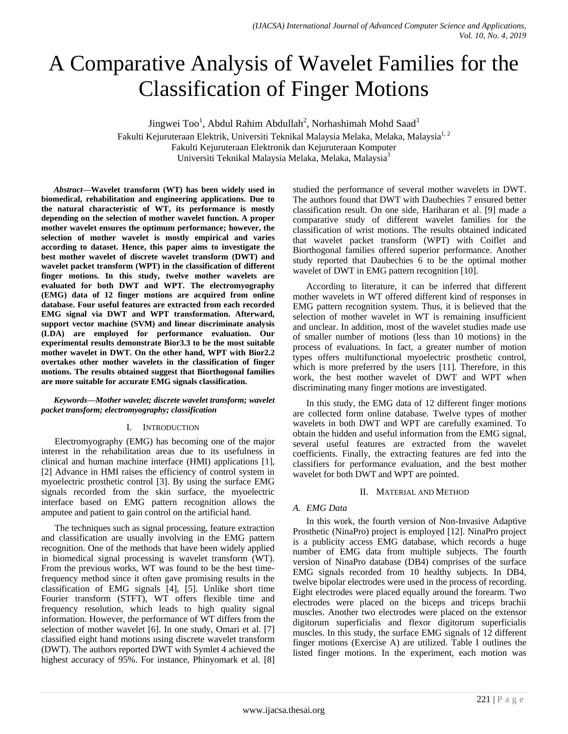# A Comparative Analysis of Wavelet Families for the Classification of Finger Motions

Jingwei Too<sup>1</sup>, Abdul Rahim Abdullah<sup>2</sup>, Norhashimah Mohd Saad<sup>3</sup> Fakulti Kejuruteraan Elektrik, Universiti Teknikal Malaysia Melaka, Melaka, Malaysia<sup>1, 2</sup> Fakulti Kejuruteraan Elektronik dan Kejuruteraan Komputer Universiti Teknikal Malaysia Melaka, Melaka, Malaysia<sup>3</sup>

*Abstract***—Wavelet transform (WT) has been widely used in biomedical, rehabilitation and engineering applications. Due to the natural characteristic of WT, its performance is mostly depending on the selection of mother wavelet function. A proper mother wavelet ensures the optimum performance; however, the selection of mother wavelet is mostly empirical and varies according to dataset. Hence, this paper aims to investigate the best mother wavelet of discrete wavelet transform (DWT) and wavelet packet transform (WPT) in the classification of different finger motions. In this study, twelve mother wavelets are evaluated for both DWT and WPT. The electromyography (EMG) data of 12 finger motions are acquired from online database. Four useful features are extracted from each recorded EMG signal via DWT and WPT transformation. Afterward, support vector machine (SVM) and linear discriminate analysis (LDA) are employed for performance evaluation. Our experimental results demonstrate Bior3.3 to be the most suitable mother wavelet in DWT. On the other hand, WPT with Bior2.2 overtakes other mother wavelets in the classification of finger motions. The results obtained suggest that Biorthogonal families are more suitable for accurate EMG signals classification.**

## *Keywords—Mother wavelet; discrete wavelet transform; wavelet packet transform; electromyography; classification*

# I. INTRODUCTION

Electromyography (EMG) has becoming one of the major interest in the rehabilitation areas due to its usefulness in clinical and human machine interface (HMI) applications [1], [2] Advance in HMI raises the efficiency of control system in myoelectric prosthetic control [3]. By using the surface EMG signals recorded from the skin surface, the myoelectric interface based on EMG pattern recognition allows the amputee and patient to gain control on the artificial hand.

The techniques such as signal processing, feature extraction and classification are usually involving in the EMG pattern recognition. One of the methods that have been widely applied in biomedical signal processing is wavelet transform (WT). From the previous works, WT was found to be the best timefrequency method since it often gave promising results in the classification of EMG signals [4], [5]. Unlike short time Fourier transform (STFT), WT offers flexible time and frequency resolution, which leads to high quality signal information. However, the performance of WT differs from the selection of mother wavelet [6]. In one study, Omari et al. [7] classified eight hand motions using discrete wavelet transform (DWT). The authors reported DWT with Symlet 4 achieved the highest accuracy of 95%. For instance, Phinyomark et al. [8] studied the performance of several mother wavelets in DWT. The authors found that DWT with Daubechies 7 ensured better classification result. On one side, Hariharan et al. [9] made a comparative study of different wavelet families for the classification of wrist motions. The results obtained indicated that wavelet packet transform (WPT) with Coiflet and Biorthogonal families offered superior performance. Another study reported that Daubechies 6 to be the optimal mother wavelet of DWT in EMG pattern recognition [10].

According to literature, it can be inferred that different mother wavelets in WT offered different kind of responses in EMG pattern recognition system. Thus, it is believed that the selection of mother wavelet in WT is remaining insufficient and unclear. In addition, most of the wavelet studies made use of smaller number of motions (less than 10 motions) in the process of evaluations. In fact, a greater number of motion types offers multifunctional myoelectric prosthetic control, which is more preferred by the users [11]. Therefore, in this work, the best mother wavelet of DWT and WPT when discriminating many finger motions are investigated.

In this study, the EMG data of 12 different finger motions are collected form online database. Twelve types of mother wavelets in both DWT and WPT are carefully examined. To obtain the hidden and useful information from the EMG signal, several useful features are extracted from the wavelet coefficients. Finally, the extracting features are fed into the classifiers for performance evaluation, and the best mother wavelet for both DWT and WPT are pointed.

# II. MATERIAL AND METHOD

# *A. EMG Data*

In this work, the fourth version of Non-Invasive Adaptive Prosthetic (NinaPro) project is employed [12]. NinaPro project is a publicity access EMG database, which records a huge number of EMG data from multiple subjects. The fourth version of NinaPro database (DB4) comprises of the surface EMG signals recorded from 10 healthy subjects. In DB4, twelve bipolar electrodes were used in the process of recording. Eight electrodes were placed equally around the forearm. Two electrodes were placed on the biceps and triceps brachii muscles. Another two electrodes were placed on the extensor digitorum superficialis and flexor digitorum superficialis muscles. In this study, the surface EMG signals of 12 different finger motions (Exercise A) are utilized. Table I outlines the listed finger motions. In the experiment, each motion was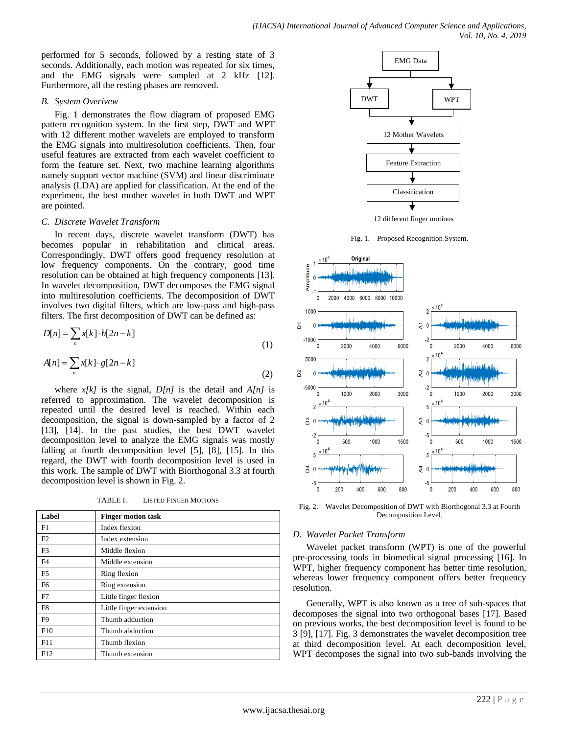performed for 5 seconds, followed by a resting state of 3 seconds. Additionally, each motion was repeated for six times, and the EMG signals were sampled at 2 kHz [12]. Furthermore, all the resting phases are removed.

## *B. System Overivew*

Fig. 1 demonstrates the flow diagram of proposed EMG pattern recognition system. In the first step, DWT and WPT with 12 different mother wavelets are employed to transform the EMG signals into multiresolution coefficients. Then, four useful features are extracted from each wavelet coefficient to form the feature set. Next, two machine learning algorithms namely support vector machine (SVM) and linear discriminate analysis (LDA) are applied for classification. At the end of the experiment, the best mother wavelet in both DWT and WPT are pointed.

# *C. Discrete Wavelet Transform*

In recent days, discrete wavelet transform (DWT) has becomes popular in rehabilitation and clinical areas. Correspondingly, DWT offers good frequency resolution at low frequency components. On the contrary, good time resolution can be obtained at high frequency components [13]. In wavelet decomposition, DWT decomposes the EMG signal into multiresolution coefficients. The decomposition of DWT involves two digital filters, which are low-pass and high-pass filters. The first decomposition of DWT can be defined as:

$$
D[n] = \sum_{n} x[k] \cdot h[2n-k]
$$
\n(1)

$$
A[n] = \sum_{n} x[k] \cdot g[2n-k]
$$
\n(2)

where  $x[k]$  is the signal,  $D[n]$  is the detail and  $A[n]$  is referred to approximation. The wavelet decomposition is repeated until the desired level is reached. Within each decomposition, the signal is down-sampled by a factor of 2 [13], [14]. In the past studies, the best DWT wavelet decomposition level to analyze the EMG signals was mostly falling at fourth decomposition level [5], [8], [15]. In this regard, the DWT with fourth decomposition level is used in this work. The sample of DWT with Biorthogonal 3.3 at fourth decomposition level is shown in Fig. 2.

TABLE I. LISTED FINGER MOTIONS

| Label          | <b>Finger motion task</b> |
|----------------|---------------------------|
| F1             | Index flexion             |
| F2             | Index extension           |
| F <sub>3</sub> | Middle flexion            |
| F <sub>4</sub> | Middle extension          |
| F <sub>5</sub> | Ring flexion              |
| F <sub>6</sub> | Ring extension            |
| F7             | Little finger flexion     |
| F8             | Little finger extension   |
| F9             | Thumb adduction           |
| F10            | Thumb abduction           |
| F11            | Thumb flexion             |
| F12            | Thumb extension           |



12 different finger motions

Fig. 1. Proposed Recognition System.



Fig. 2. Wavelet Decomposition of DWT with Biorthogonal 3.3 at Fourth Decomposition Level.

# *D. Wavelet Packet Transform*

Wavelet packet transform (WPT) is one of the powerful pre-processing tools in biomedical signal processing [16]. In WPT, higher frequency component has better time resolution. whereas lower frequency component offers better frequency resolution.

Generally, WPT is also known as a tree of sub-spaces that decomposes the signal into two orthogonal bases [17]. Based on previous works, the best decomposition level is found to be 3 [9], [17]. Fig. 3 demonstrates the wavelet decomposition tree at third decomposition level. At each decomposition level, WPT decomposes the signal into two sub-bands involving the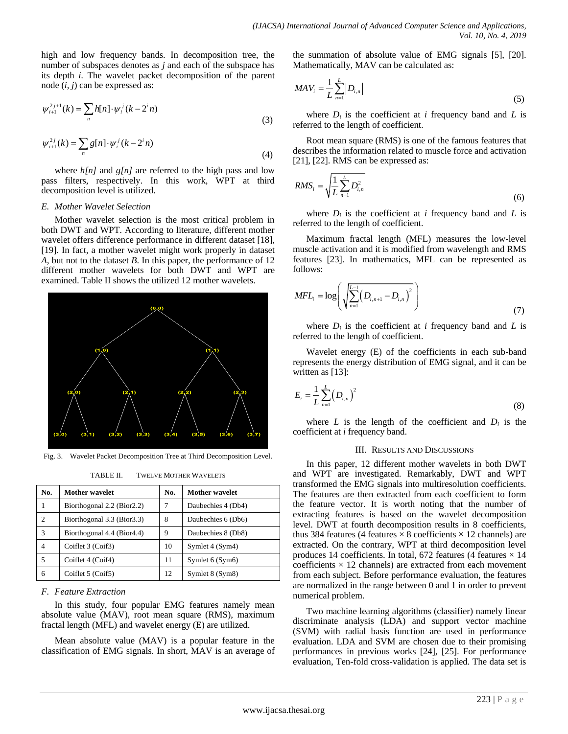high and low frequency bands. In decomposition tree, the number of subspaces denotes as *j* and each of the subspace has its depth *i*. The wavelet packet decomposition of the parent node (*i, j*) can be expressed as:

$$
\psi_{i+1}^{2j+1}(k) = \sum_{n} h[n] \cdot \psi_i^j(k - 2^i n)
$$
\n(3)

$$
\psi_{i+1}^{2j}(k) = \sum_{n} g[n] \cdot \psi_i^j(k - 2^i n)
$$
\n(4)

where  $h[n]$  and  $g[n]$  are referred to the high pass and low pass filters, respectively. In this work, WPT at third decomposition level is utilized.

#### *E. Mother Wavelet Selection*

Mother wavelet selection is the most critical problem in both DWT and WPT. According to literature, different mother wavelet offers difference performance in different dataset [18], [19]. In fact, a mother wavelet might work properly in dataset *A*, but not to the dataset *B*. In this paper, the performance of 12 different mother wavelets for both DWT and WPT are examined. Table II shows the utilized 12 mother wavelets.



Fig. 3. Wavelet Packet Decomposition Tree at Third Decomposition Level.

| <b>TWELVE MOTHER WAVELETS</b> |
|-------------------------------|
|                               |

| No. | <b>Mother wavelet</b>       | No. | <b>Mother wavelet</b> |
|-----|-----------------------------|-----|-----------------------|
|     | Biorthogonal 2.2 (Bior2.2)  |     | Daubechies 4 (Db4)    |
| 2   | Biorthogonal 3.3 (Bior 3.3) | 8   | Daubechies 6 (Db6)    |
| 3   | Biorthogonal 4.4 (Bior4.4)  | 9   | Daubechies 8 (Db8)    |
| 4   | Coiflet 3 (Coif3)           | 10  | Symlet 4 (Sym4)       |
| 5   | Coiflet 4 (Coif4)           | 11  | Symlet 6 (Sym6)       |
| 6   | Coiflet 5 (Coif5)           | 12  | Symlet 8 (Sym8)       |

## *F. Feature Extraction*

In this study, four popular EMG features namely mean absolute value (MAV), root mean square (RMS), maximum fractal length (MFL) and wavelet energy (E) are utilized.

Mean absolute value (MAV) is a popular feature in the classification of EMG signals. In short, MAV is an average of the summation of absolute value of EMG signals [5], [20]. Mathematically, MAV can be calculated as:

$$
MAV_i = \frac{1}{L} \sum_{n=1}^{L} |D_{i,n}|
$$
\n(5)

where  $D_i$  is the coefficient at *i* frequency band and *L* is referred to the length of coefficient.

Root mean square (RMS) is one of the famous features that describes the information related to muscle force and activation [21], [22]. RMS can be expressed as:

$$
RMS_i = \sqrt{\frac{1}{L} \sum_{n=1}^{L} D_{i,n}^2}
$$
 (6)

where  $D_i$  is the coefficient at *i* frequency band and *L* is referred to the length of coefficient.

Maximum fractal length (MFL) measures the low-level muscle activation and it is modified from wavelength and RMS features [23]. In mathematics, MFL can be represented as follows:

$$
MFL_i = \log \left( \sqrt{\sum_{n=1}^{L-1} (D_{i,n+1} - D_{i,n})^2} \right)
$$
 (7)

where  $D_i$  is the coefficient at *i* frequency band and *L* is referred to the length of coefficient.

Wavelet energy (E) of the coefficients in each sub-band represents the energy distribution of EMG signal, and it can be written as [13]:

$$
E_{i} = \frac{1}{L} \sum_{n=1}^{L} (D_{i,n})^{2}
$$
 (8)

where  $L$  is the length of the coefficient and  $D_i$  is the coefficient at *i* frequency band.

#### III. RESULTS AND DISCUSSIONS

In this paper, 12 different mother wavelets in both DWT and WPT are investigated. Remarkably, DWT and WPT transformed the EMG signals into multiresolution coefficients. The features are then extracted from each coefficient to form the feature vector. It is worth noting that the number of extracting features is based on the wavelet decomposition level. DWT at fourth decomposition results in 8 coefficients, thus 384 features (4 features  $\times$  8 coefficients  $\times$  12 channels) are extracted. On the contrary, WPT at third decomposition level produces 14 coefficients. In total, 672 features (4 features  $\times$  14 coefficients  $\times$  12 channels) are extracted from each movement from each subject. Before performance evaluation, the features are normalized in the range between 0 and 1 in order to prevent numerical problem.

Two machine learning algorithms (classifier) namely linear discriminate analysis (LDA) and support vector machine (SVM) with radial basis function are used in performance evaluation. LDA and SVM are chosen due to their promising performances in previous works [24], [25]. For performance evaluation, Ten-fold cross-validation is applied. The data set is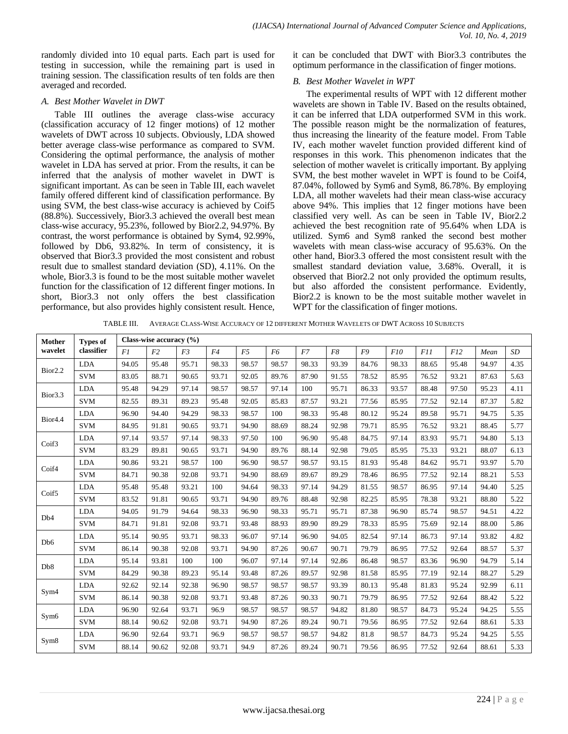randomly divided into 10 equal parts. Each part is used for testing in succession, while the remaining part is used in training session. The classification results of ten folds are then averaged and recorded.

## *A. Best Mother Wavelet in DWT*

Table III outlines the average class-wise accuracy (classification accuracy of 12 finger motions) of 12 mother wavelets of DWT across 10 subjects. Obviously, LDA showed better average class-wise performance as compared to SVM. Considering the optimal performance, the analysis of mother wavelet in LDA has served at prior. From the results, it can be inferred that the analysis of mother wavelet in DWT is significant important. As can be seen in Table III, each wavelet family offered different kind of classification performance. By using SVM, the best class-wise accuracy is achieved by Coif5 (88.8%). Successively, Bior3.3 achieved the overall best mean class-wise accuracy, 95.23%, followed by Bior2.2, 94.97%. By contrast, the worst performance is obtained by Sym4, 92.99%, followed by Db6, 93.82%. In term of consistency, it is observed that Bior3.3 provided the most consistent and robust result due to smallest standard deviation (SD), 4.11%. On the whole, Bior3.3 is found to be the most suitable mother wavelet function for the classification of 12 different finger motions. In short, Bior3.3 not only offers the best classification performance, but also provides highly consistent result. Hence, it can be concluded that DWT with Bior3.3 contributes the optimum performance in the classification of finger motions.

## *B. Best Mother Wavelet in WPT*

The experimental results of WPT with 12 different mother wavelets are shown in Table IV. Based on the results obtained, it can be inferred that LDA outperformed SVM in this work. The possible reason might be the normalization of features, thus increasing the linearity of the feature model. From Table IV, each mother wavelet function provided different kind of responses in this work. This phenomenon indicates that the selection of mother wavelet is critically important. By applying SVM, the best mother wavelet in WPT is found to be Coif4, 87.04%, followed by Sym6 and Sym8, 86.78%. By employing LDA, all mother wavelets had their mean class-wise accuracy above 94%. This implies that 12 finger motions have been classified very well. As can be seen in Table IV, Bior2.2 achieved the best recognition rate of 95.64% when LDA is utilized. Sym6 and Sym8 ranked the second best mother wavelets with mean class-wise accuracy of 95.63%. On the other hand, Bior3.3 offered the most consistent result with the smallest standard deviation value, 3.68%. Overall, it is observed that Bior2.2 not only provided the optimum results, but also afforded the consistent performance. Evidently, Bior2.2 is known to be the most suitable mother wavelet in WPT for the classification of finger motions.

TABLE III. AVERAGE CLASS-WISE ACCURACY OF 12 DIFFERENT MOTHER WAVELETS OF DWT ACROSS 10 SUBJECTS

| Mother<br>wavelet   | <b>Types of</b><br>classifier | Class-wise accuracy (%) |       |                |       |       |       |       |       |       |       |       |       |       |      |
|---------------------|-------------------------------|-------------------------|-------|----------------|-------|-------|-------|-------|-------|-------|-------|-------|-------|-------|------|
|                     |                               | F1                      | F2    | F <sub>3</sub> | F4    | F5    | F6    | F7    | F8    | F9    | F10   | F11   | F12   | Mean  | SD   |
| Bior <sub>2.2</sub> | <b>LDA</b>                    | 94.05                   | 95.48 | 95.71          | 98.33 | 98.57 | 98.57 | 98.33 | 93.39 | 84.76 | 98.33 | 88.65 | 95.48 | 94.97 | 4.35 |
|                     | <b>SVM</b>                    | 83.05                   | 88.71 | 90.65          | 93.71 | 92.05 | 89.76 | 87.90 | 91.55 | 78.52 | 85.95 | 76.52 | 93.21 | 87.63 | 5.63 |
| Bior <sub>3.3</sub> | <b>LDA</b>                    | 95.48                   | 94.29 | 97.14          | 98.57 | 98.57 | 97.14 | 100   | 95.71 | 86.33 | 93.57 | 88.48 | 97.50 | 95.23 | 4.11 |
|                     | <b>SVM</b>                    | 82.55                   | 89.31 | 89.23          | 95.48 | 92.05 | 85.83 | 87.57 | 93.21 | 77.56 | 85.95 | 77.52 | 92.14 | 87.37 | 5.82 |
|                     | <b>LDA</b>                    | 96.90                   | 94.40 | 94.29          | 98.33 | 98.57 | 100   | 98.33 | 95.48 | 80.12 | 95.24 | 89.58 | 95.71 | 94.75 | 5.35 |
| Bior <sub>4.4</sub> | <b>SVM</b>                    | 84.95                   | 91.81 | 90.65          | 93.71 | 94.90 | 88.69 | 88.24 | 92.98 | 79.71 | 85.95 | 76.52 | 93.21 | 88.45 | 5.77 |
| Coif3               | <b>LDA</b>                    | 97.14                   | 93.57 | 97.14          | 98.33 | 97.50 | 100   | 96.90 | 95.48 | 84.75 | 97.14 | 83.93 | 95.71 | 94.80 | 5.13 |
|                     | <b>SVM</b>                    | 83.29                   | 89.81 | 90.65          | 93.71 | 94.90 | 89.76 | 88.14 | 92.98 | 79.05 | 85.95 | 75.33 | 93.21 | 88.07 | 6.13 |
| Coif4               | <b>LDA</b>                    | 90.86                   | 93.21 | 98.57          | 100   | 96.90 | 98.57 | 98.57 | 93.15 | 81.93 | 95.48 | 84.62 | 95.71 | 93.97 | 5.70 |
|                     | <b>SVM</b>                    | 84.71                   | 90.38 | 92.08          | 93.71 | 94.90 | 88.69 | 89.67 | 89.29 | 78.46 | 86.95 | 77.52 | 92.14 | 88.21 | 5.53 |
| Coif <sub>5</sub>   | <b>LDA</b>                    | 95.48                   | 95.48 | 93.21          | 100   | 94.64 | 98.33 | 97.14 | 94.29 | 81.55 | 98.57 | 86.95 | 97.14 | 94.40 | 5.25 |
|                     | <b>SVM</b>                    | 83.52                   | 91.81 | 90.65          | 93.71 | 94.90 | 89.76 | 88.48 | 92.98 | 82.25 | 85.95 | 78.38 | 93.21 | 88.80 | 5.22 |
| Db <sub>4</sub>     | <b>LDA</b>                    | 94.05                   | 91.79 | 94.64          | 98.33 | 96.90 | 98.33 | 95.71 | 95.71 | 87.38 | 96.90 | 85.74 | 98.57 | 94.51 | 4.22 |
|                     | <b>SVM</b>                    | 84.71                   | 91.81 | 92.08          | 93.71 | 93.48 | 88.93 | 89.90 | 89.29 | 78.33 | 85.95 | 75.69 | 92.14 | 88.00 | 5.86 |
| D <sub>b</sub> 6    | <b>LDA</b>                    | 95.14                   | 90.95 | 93.71          | 98.33 | 96.07 | 97.14 | 96.90 | 94.05 | 82.54 | 97.14 | 86.73 | 97.14 | 93.82 | 4.82 |
|                     | <b>SVM</b>                    | 86.14                   | 90.38 | 92.08          | 93.71 | 94.90 | 87.26 | 90.67 | 90.71 | 79.79 | 86.95 | 77.52 | 92.64 | 88.57 | 5.37 |
| D <sub>b</sub> 8    | <b>LDA</b>                    | 95.14                   | 93.81 | 100            | 100   | 96.07 | 97.14 | 97.14 | 92.86 | 86.48 | 98.57 | 83.36 | 96.90 | 94.79 | 5.14 |
|                     | <b>SVM</b>                    | 84.29                   | 90.38 | 89.23          | 95.14 | 93.48 | 87.26 | 89.57 | 92.98 | 81.58 | 85.95 | 77.19 | 92.14 | 88.27 | 5.29 |
|                     | <b>LDA</b>                    | 92.62                   | 92.14 | 92.38          | 96.90 | 98.57 | 98.57 | 98.57 | 93.39 | 80.13 | 95.48 | 81.83 | 95.24 | 92.99 | 6.11 |
| Sym <sub>4</sub>    | <b>SVM</b>                    | 86.14                   | 90.38 | 92.08          | 93.71 | 93.48 | 87.26 | 90.33 | 90.71 | 79.79 | 86.95 | 77.52 | 92.64 | 88.42 | 5.22 |
| Sym <sub>6</sub>    | <b>LDA</b>                    | 96.90                   | 92.64 | 93.71          | 96.9  | 98.57 | 98.57 | 98.57 | 94.82 | 81.80 | 98.57 | 84.73 | 95.24 | 94.25 | 5.55 |
|                     | <b>SVM</b>                    | 88.14                   | 90.62 | 92.08          | 93.71 | 94.90 | 87.26 | 89.24 | 90.71 | 79.56 | 86.95 | 77.52 | 92.64 | 88.61 | 5.33 |
|                     | <b>LDA</b>                    | 96.90                   | 92.64 | 93.71          | 96.9  | 98.57 | 98.57 | 98.57 | 94.82 | 81.8  | 98.57 | 84.73 | 95.24 | 94.25 | 5.55 |
| Sym <sub>8</sub>    | <b>SVM</b>                    | 88.14                   | 90.62 | 92.08          | 93.71 | 94.9  | 87.26 | 89.24 | 90.71 | 79.56 | 86.95 | 77.52 | 92.64 | 88.61 | 5.33 |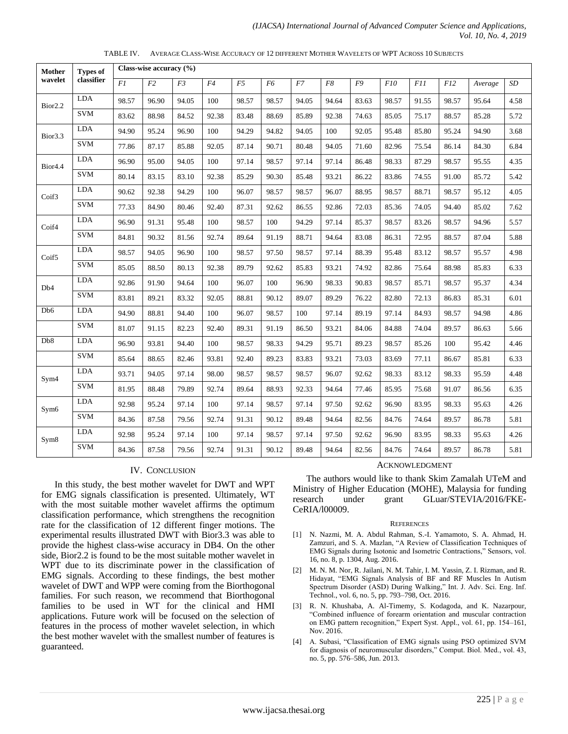| Mother<br>wavelet   | <b>Types of</b><br>classifier | Class-wise accuracy $(\% )$ |       |                |       |       |                |       |       |       |       |       |       |         |      |
|---------------------|-------------------------------|-----------------------------|-------|----------------|-------|-------|----------------|-------|-------|-------|-------|-------|-------|---------|------|
|                     |                               | FI                          | F2    | F <sub>3</sub> | F4    | F5    | F <sub>6</sub> | F7    | F8    | F9    | F10   | F11   | F12   | Average | SD   |
| Bior <sub>2.2</sub> | <b>LDA</b>                    | 98.57                       | 96.90 | 94.05          | 100   | 98.57 | 98.57          | 94.05 | 94.64 | 83.63 | 98.57 | 91.55 | 98.57 | 95.64   | 4.58 |
|                     | <b>SVM</b>                    | 83.62                       | 88.98 | 84.52          | 92.38 | 83.48 | 88.69          | 85.89 | 92.38 | 74.63 | 85.05 | 75.17 | 88.57 | 85.28   | 5.72 |
| Bior <sub>3.3</sub> | <b>LDA</b>                    | 94.90                       | 95.24 | 96.90          | 100   | 94.29 | 94.82          | 94.05 | 100   | 92.05 | 95.48 | 85.80 | 95.24 | 94.90   | 3.68 |
|                     | <b>SVM</b>                    | 77.86                       | 87.17 | 85.88          | 92.05 | 87.14 | 90.71          | 80.48 | 94.05 | 71.60 | 82.96 | 75.54 | 86.14 | 84.30   | 6.84 |
| Bior <sub>4.4</sub> | <b>LDA</b>                    | 96.90                       | 95.00 | 94.05          | 100   | 97.14 | 98.57          | 97.14 | 97.14 | 86.48 | 98.33 | 87.29 | 98.57 | 95.55   | 4.35 |
|                     | <b>SVM</b>                    | 80.14                       | 83.15 | 83.10          | 92.38 | 85.29 | 90.30          | 85.48 | 93.21 | 86.22 | 83.86 | 74.55 | 91.00 | 85.72   | 5.42 |
| Coif3               | <b>LDA</b>                    | 90.62                       | 92.38 | 94.29          | 100   | 96.07 | 98.57          | 98.57 | 96.07 | 88.95 | 98.57 | 88.71 | 98.57 | 95.12   | 4.05 |
|                     | <b>SVM</b>                    | 77.33                       | 84.90 | 80.46          | 92.40 | 87.31 | 92.62          | 86.55 | 92.86 | 72.03 | 85.36 | 74.05 | 94.40 | 85.02   | 7.62 |
| Coif4               | <b>LDA</b>                    | 96.90                       | 91.31 | 95.48          | 100   | 98.57 | 100            | 94.29 | 97.14 | 85.37 | 98.57 | 83.26 | 98.57 | 94.96   | 5.57 |
|                     | <b>SVM</b>                    | 84.81                       | 90.32 | 81.56          | 92.74 | 89.64 | 91.19          | 88.71 | 94.64 | 83.08 | 86.31 | 72.95 | 88.57 | 87.04   | 5.88 |
| Coif <sub>5</sub>   | $\rm LDA$                     | 98.57                       | 94.05 | 96.90          | 100   | 98.57 | 97.50          | 98.57 | 97.14 | 88.39 | 95.48 | 83.12 | 98.57 | 95.57   | 4.98 |
|                     | <b>SVM</b>                    | 85.05                       | 88.50 | 80.13          | 92.38 | 89.79 | 92.62          | 85.83 | 93.21 | 74.92 | 82.86 | 75.64 | 88.98 | 85.83   | 6.33 |
| D <sub>b</sub> 4    | <b>LDA</b>                    | 92.86                       | 91.90 | 94.64          | 100   | 96.07 | 100            | 96.90 | 98.33 | 90.83 | 98.57 | 85.71 | 98.57 | 95.37   | 4.34 |
|                     | <b>SVM</b>                    | 83.81                       | 89.21 | 83.32          | 92.05 | 88.81 | 90.12          | 89.07 | 89.29 | 76.22 | 82.80 | 72.13 | 86.83 | 85.31   | 6.01 |
| Db6                 | LDA                           | 94.90                       | 88.81 | 94.40          | 100   | 96.07 | 98.57          | 100   | 97.14 | 89.19 | 97.14 | 84.93 | 98.57 | 94.98   | 4.86 |
|                     | <b>SVM</b>                    | 81.07                       | 91.15 | 82.23          | 92.40 | 89.31 | 91.19          | 86.50 | 93.21 | 84.06 | 84.88 | 74.04 | 89.57 | 86.63   | 5.66 |
| Db8                 | <b>LDA</b>                    | 96.90                       | 93.81 | 94.40          | 100   | 98.57 | 98.33          | 94.29 | 95.71 | 89.23 | 98.57 | 85.26 | 100   | 95.42   | 4.46 |
|                     | <b>SVM</b>                    | 85.64                       | 88.65 | 82.46          | 93.81 | 92.40 | 89.23          | 83.83 | 93.21 | 73.03 | 83.69 | 77.11 | 86.67 | 85.81   | 6.33 |
| Sym <sub>4</sub>    | <b>LDA</b>                    | 93.71                       | 94.05 | 97.14          | 98.00 | 98.57 | 98.57          | 98.57 | 96.07 | 92.62 | 98.33 | 83.12 | 98.33 | 95.59   | 4.48 |
|                     | <b>SVM</b>                    | 81.95                       | 88.48 | 79.89          | 92.74 | 89.64 | 88.93          | 92.33 | 94.64 | 77.46 | 85.95 | 75.68 | 91.07 | 86.56   | 6.35 |
| Sym <sub>6</sub>    | <b>LDA</b>                    | 92.98                       | 95.24 | 97.14          | 100   | 97.14 | 98.57          | 97.14 | 97.50 | 92.62 | 96.90 | 83.95 | 98.33 | 95.63   | 4.26 |
|                     | <b>SVM</b>                    | 84.36                       | 87.58 | 79.56          | 92.74 | 91.31 | 90.12          | 89.48 | 94.64 | 82.56 | 84.76 | 74.64 | 89.57 | 86.78   | 5.81 |
| Sym <sub>8</sub>    | <b>LDA</b>                    | 92.98                       | 95.24 | 97.14          | 100   | 97.14 | 98.57          | 97.14 | 97.50 | 92.62 | 96.90 | 83.95 | 98.33 | 95.63   | 4.26 |
|                     | <b>SVM</b>                    | 84.36                       | 87.58 | 79.56          | 92.74 | 91.31 | 90.12          | 89.48 | 94.64 | 82.56 | 84.76 | 74.64 | 89.57 | 86.78   | 5.81 |

TABLE IV. AVERAGE CLASS-WISE ACCURACY OF 12 DIFFERENT MOTHER WAVELETS OF WPT ACROSS 10 SUBJECTS

#### IV. CONCLUSION

In this study, the best mother wavelet for DWT and WPT for EMG signals classification is presented. Ultimately, WT with the most suitable mother wavelet affirms the optimum classification performance, which strengthens the recognition rate for the classification of 12 different finger motions. The experimental results illustrated DWT with Bior3.3 was able to provide the highest class-wise accuracy in DB4. On the other side, Bior2.2 is found to be the most suitable mother wavelet in WPT due to its discriminate power in the classification of EMG signals. According to these findings, the best mother wavelet of DWT and WPP were coming from the Biorthogonal families. For such reason, we recommend that Biorthogonal families to be used in WT for the clinical and HMI applications. Future work will be focused on the selection of features in the process of mother wavelet selection, in which the best mother wavelet with the smallest number of features is guaranteed.

# ACKNOWLEDGMENT

The authors would like to thank Skim Zamalah UTeM and Ministry of Higher Education (MOHE), Malaysia for funding research under grant GLuar/STEVIA/2016/FKE-CeRIA/l00009.

#### **REFERENCES**

- [1] N. Nazmi, M. A. Abdul Rahman, S.-I. Yamamoto, S. A. Ahmad, H. Zamzuri, and S. A. Mazlan, "A Review of Classification Techniques of EMG Signals during Isotonic and Isometric Contractions," Sensors, vol. 16, no. 8, p. 1304, Aug. 2016.
- [2] M. N. M. Nor, R. Jailani, N. M. Tahir, I. M. Yassin, Z. I. Rizman, and R. Hidayat, "EMG Signals Analysis of BF and RF Muscles In Autism Spectrum Disorder (ASD) During Walking," Int. J. Adv. Sci. Eng. Inf. Technol., vol. 6, no. 5, pp. 793–798, Oct. 2016.
- [3] R. N. Khushaba, A. Al-Timemy, S. Kodagoda, and K. Nazarpour, "Combined influence of forearm orientation and muscular contraction on EMG pattern recognition," Expert Syst. Appl., vol. 61, pp. 154–161, Nov. 2016.
- [4] A. Subasi, "Classification of EMG signals using PSO optimized SVM for diagnosis of neuromuscular disorders," Comput. Biol. Med., vol. 43, no. 5, pp. 576–586, Jun. 2013.